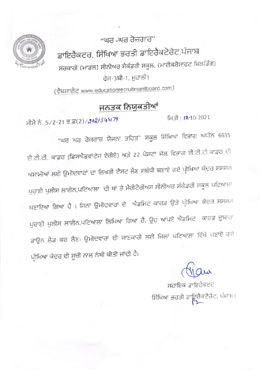"ਘਰ -ਘਰ ਰੋਜ਼ਗਾਰ" ਡਾਇਰੈਕਟਰ, ਸਿੱਖਿਆ ਭਰਤੀ ਡਾਇਰੈਕਟੋਰੇਟ,ਪੰਜਾਬ ਸਰਕਾਰੀ (ਮਾਡਲ) ਸੀਨੀਅਰ ਸੈਕੰਡਰੀ ਸਕੂਲ, (ਮਾਈਕਰੋਸਾਫਟ ਬਿਲਡਿੰਗ) ਫੇਜ-3ਬੀ-1, ਮੁਹਾਲੀ।

( ਵੈਬਸਾਈਟ www.educationrecruitmentboard.com)

## ਜਨਤਕ ਨਿਯਕਤੀਆਂ

ਮੀਮੋ ਨੰ. 5/2-21 ਤ.ਡ(2)/2021345179

ਮਿਤੀ: 12-10-2021

"ਘਰ ਘਰ ਰੋਜਗਾਰ ਯੋਜਨਾ ਤਹਿਤ" ਸਕੂਲ ਸਿੱਖਿਆ ਵਿਭਾਗ ਅਧੀਨ 6635 ਈ.ਟੀ.ਟੀ. ਕਾਡਰ (ਡਿਸਐਡਵਾਂਟੇਜ ਏਰੀਏ) ਅਤੇ 22 ਪੋਸਟਾ ਜੇਲ ਵਿਭਾਗ ਈ.ਟੀ.ਟੀ.ਕਾਡਰ ਦੀ ਅਸਾਮੀਆਂ ਲਈ ਉਮੀਦਵਾਰਾਂ ਦਾ ਲਿਖਤੀ ਟੈਸਟ ਲੈਣ ਸਬੰਧੀ ਬਣਾਏ ਗਏ ਪ੍ਰੀਖਿਆ ਕੇਂਦਰ ਸਸਸਸ ਪੁਰਾਣੀ ਪੁਲੀਸ ਲਾਈਨ,ਪਟਿਆਲਾ ਦੀ ਥਾਂ ਤੇ ਮੈਰੀਟੋਰੀਅਸ ਸੀਨੀਅਰ ਸੰਕੈਡਰੀ ਸਕੂਲ ਪਟਿਆਲਾ ਬਣਾਇਆ ਗਿਆ ਹੈ। ਜਿਨਾਂ ਉਮੀਦਵਾਰਾਂ ਦੇ ਐਡਮਿਟ ਕਾਰਡ ਉਤੇ ਪ੍ਰੀਖਿਆ ਕੇਂਦਰ ਸਸਸਮ ਪੁਰਾਣੀ ਪੁਲੀਸ ਲਾਈਨ,ਪਟਿਆਲਾ ਲਿਖਿਆ ਗਿਆ ਹੈ, ਉਹ ਆਪਣੇ ਐਡਮਿਟ ਕਾਰਡ ਦੁਬਾਰਾ ਡਾਉਨ ਲੋਡ ਕਰ ਲੈਣ। ਉਮੀਦਵਾਰਾਂ ਦੀ ਜਾਣਕਾਰੀ ਲਈ ਜਿਲਾਂ ਪਟਿਆਲਾ ਵਿੱਖੇ ਬਣਾਏ ਗਏ ਪ੍ਰੀਖਿਆ ਕੇਦਰ ਦੀ ਸੂਚੀ ਨਾਲ ਨੱਥੀ ਕੀਤੀ ਜਾਂਦੀ ਹੈ।

ਸਹਾਇਕ ਡਾਇਰੈਕਟਰ ਸਿੱਖਿਆ ਭਰਤੀ ਡਾਇਰੈਕਟੋਰੇਟ, ਪੰਜਾਬ।